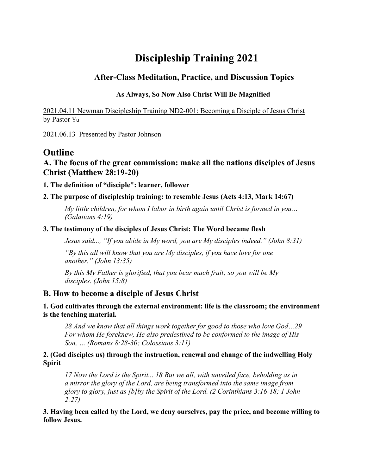# **Discipleship Training 2021**

## **After-Class Meditation, Practice, and Discussion Topics**

## **As Always, So Now Also Christ Will Be Magnified**

[2021.04.11 Newman Discipleship Training ND2-001: Becoming a Disciple of Jesus Christ](https://docs.google.com/document/d/1v5wgDslMuQ4mj0DJZ_mQrzuKvKmSdHur/edit#bookmark=id.gjdgxs) by Pastor Yu

2021.06.13 Presented by Pastor Johnson

## **Outline**

## **A. The focus of the great commission: make all the nations disciples of Jesus Christ (Matthew 28:19-20)**

**1. The definition of "disciple": learner, follower**

## **2. The purpose of discipleship training: to resemble Jesus (Acts 4:13, Mark 14:67)**

*My little children, for whom I labor in birth again until Christ is formed in you… (Galatians 4:19)*

### **3. The testimony of the disciples of Jesus Christ: The Word became flesh**

*Jesus said..., "If you abide in My word, you are My disciples indeed." (John 8:31)*

*"By this all will know that you are My disciples, if you have love for one another." (John 13:35)*

*By this My Father is glorified, that you bear much fruit; so you will be My disciples. (John 15:8)*

## **B. How to become a disciple of Jesus Christ**

### **1. God cultivates through the external environment: life is the classroom; the environment is the teaching material.**

*28 And we know that all things work together for good to those who love God…29 For whom He foreknew, He also predestined to be conformed to the image of His Son, … (Romans 8:28-30; Colossians 3:11)*

### **2. (God disciples us) through the instruction, renewal and change of the indwelling Holy Spirit**

*17 Now the Lord is the Spirit... 18 But we all, with unveiled face, beholding as in a mirror the glory of the Lord, are being transformed into the same image from glory to glory, just as [b]by the Spirit of the Lord. (2 Corinthians 3:16-18; 1 John 2:27)*

**3. Having been called by the Lord, we deny ourselves, pay the price, and become willing to follow Jesus.**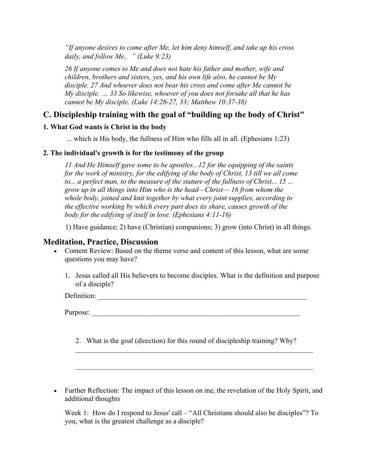*"If anyone desires to come after Me, let him deny himself, and take up his cross daily, and follow Me*。*" (Luke 9:23)*

*26 If anyone comes to Me and does not hate his father and mother, wife and children, brothers and sisters, yes, and his own life also, he cannot be My disciple. 27 And whoever does not bear his cross and come after Me cannot be My disciple. … 33 So likewise, whoever of you does not forsake all that he has cannot be My disciple. (Luke 14:26-27, 33; Matthew 10:37-38)*

## **C. Discipleship training with the goal of "building up the body of Christ"**

### **1. What God wants is Christ in the body**

... which is His body, the fullness of Him who fills all in all. (Ephesians 1:23)

### **2. The individual's growth is for the testimony of the group**

*11 And He Himself gave some to be apostles...12 for the equipping of the saints for the work of ministry, for the edifying of the body of Christ, 13 till we all come to... a perfect man, to the measure of the stature of the fullness of Christ... 15 ... grow up in all things into Him who is the head—Christ— 16 from whom the whole body, joined and knit together by what every joint supplies, according to the effective working by which every part does its share, causes growth of the body for the edifying of itself in love. (Ephesians 4:11-16)*

1) Have guidance; 2) have (Christian) companions; 3) grow (into Christ) in all things.

## **Meditation, Practice, Discussion**

- Content Review: Based on the theme verse and content of this lesson, what are some questions you may have?
	- 1. Jesus called all His believers to become disciples. What is the definition and purpose of a disciple?

Definition:

Purpose:

2. What is the goal (direction) for this round of discipleship training? Why?

 $\mathcal{L}_\mathcal{L} = \mathcal{L}_\mathcal{L} = \mathcal{L}_\mathcal{L} = \mathcal{L}_\mathcal{L} = \mathcal{L}_\mathcal{L} = \mathcal{L}_\mathcal{L} = \mathcal{L}_\mathcal{L} = \mathcal{L}_\mathcal{L} = \mathcal{L}_\mathcal{L} = \mathcal{L}_\mathcal{L} = \mathcal{L}_\mathcal{L} = \mathcal{L}_\mathcal{L} = \mathcal{L}_\mathcal{L} = \mathcal{L}_\mathcal{L} = \mathcal{L}_\mathcal{L} = \mathcal{L}_\mathcal{L} = \mathcal{L}_\mathcal{L}$ 

\_\_\_\_\_\_\_\_\_\_\_\_\_\_\_\_\_\_\_\_\_\_\_\_\_\_\_\_\_\_\_\_\_\_\_\_\_\_\_\_\_\_\_\_\_\_\_\_\_\_\_\_\_\_\_\_\_\_\_\_\_\_\_\_\_\_

• Further Reflection: The impact of this lesson on me, the revelation of the Holy Spirit, and additional thoughts

Week 1: How do I respond to Jesus' call – "All Christians should also be disciples"? To you, what is the greatest challenge as a disciple?